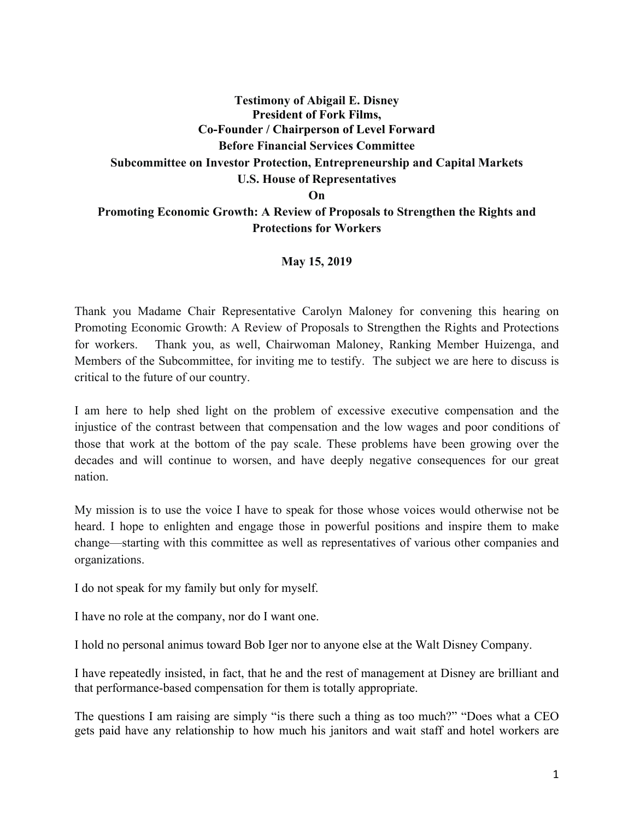## **Testimony of Abigail E. Disney President of Fork Films, Co-Founder / Chairperson of Level Forward Before Financial Services Committee Subcommittee on Investor Protection, Entrepreneurship and Capital Markets U.S. House of Representatives On**

## **Promoting Economic Growth: A Review of Proposals to Strengthen the Rights and Protections for Workers**

## **May 15, 2019**

Thank you Madame Chair Representative Carolyn Maloney for convening this hearing on Promoting Economic Growth: A Review of Proposals to Strengthen the Rights and Protections for workers. Thank you, as well, Chairwoman Maloney, Ranking Member Huizenga, and Members of the Subcommittee, for inviting me to testify. The subject we are here to discuss is critical to the future of our country.

I am here to help shed light on the problem of excessive executive compensation and the injustice of the contrast between that compensation and the low wages and poor conditions of those that work at the bottom of the pay scale. These problems have been growing over the decades and will continue to worsen, and have deeply negative consequences for our great nation.

My mission is to use the voice I have to speak for those whose voices would otherwise not be heard. I hope to enlighten and engage those in powerful positions and inspire them to make change—starting with this committee as well as representatives of various other companies and organizations.

I do not speak for my family but only for myself.

I have no role at the company, nor do I want one.

I hold no personal animus toward Bob Iger nor to anyone else at the Walt Disney Company.

I have repeatedly insisted, in fact, that he and the rest of management at Disney are brilliant and that performance-based compensation for them is totally appropriate.

The questions I am raising are simply "is there such a thing as too much?" "Does what a CEO gets paid have any relationship to how much his janitors and wait staff and hotel workers are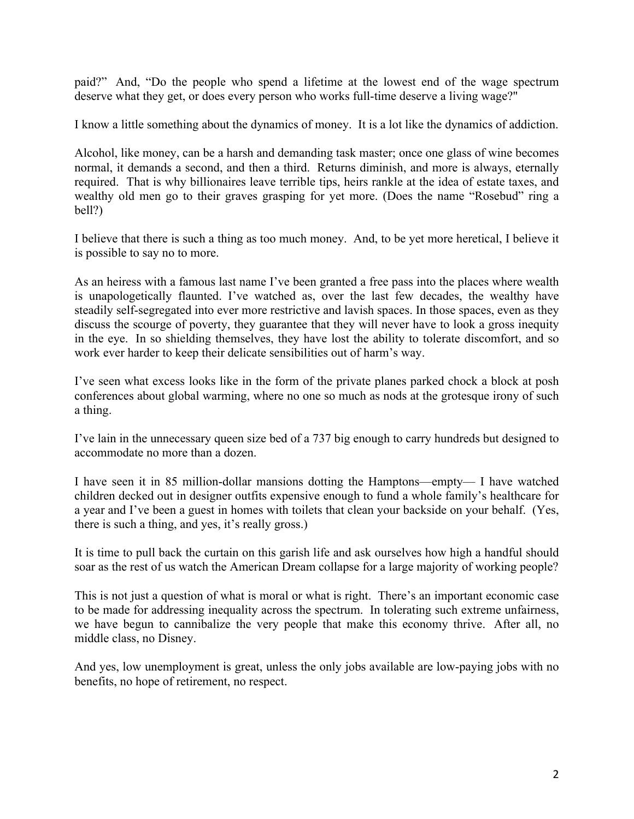paid?" And, "Do the people who spend a lifetime at the lowest end of the wage spectrum deserve what they get, or does every person who works full-time deserve a living wage?"

I know a little something about the dynamics of money. It is a lot like the dynamics of addiction.

Alcohol, like money, can be a harsh and demanding task master; once one glass of wine becomes normal, it demands a second, and then a third. Returns diminish, and more is always, eternally required. That is why billionaires leave terrible tips, heirs rankle at the idea of estate taxes, and wealthy old men go to their graves grasping for yet more. (Does the name "Rosebud" ring a bell?)

I believe that there is such a thing as too much money. And, to be yet more heretical, I believe it is possible to say no to more.

As an heiress with a famous last name I've been granted a free pass into the places where wealth is unapologetically flaunted. I've watched as, over the last few decades, the wealthy have steadily self-segregated into ever more restrictive and lavish spaces. In those spaces, even as they discuss the scourge of poverty, they guarantee that they will never have to look a gross inequity in the eye. In so shielding themselves, they have lost the ability to tolerate discomfort, and so work ever harder to keep their delicate sensibilities out of harm's way.

I've seen what excess looks like in the form of the private planes parked chock a block at posh conferences about global warming, where no one so much as nods at the grotesque irony of such a thing.

I've lain in the unnecessary queen size bed of a 737 big enough to carry hundreds but designed to accommodate no more than a dozen.

I have seen it in 85 million-dollar mansions dotting the Hamptons—empty— I have watched children decked out in designer outfits expensive enough to fund a whole family's healthcare for a year and I've been a guest in homes with toilets that clean your backside on your behalf. (Yes, there is such a thing, and yes, it's really gross.)

It is time to pull back the curtain on this garish life and ask ourselves how high a handful should soar as the rest of us watch the American Dream collapse for a large majority of working people?

This is not just a question of what is moral or what is right. There's an important economic case to be made for addressing inequality across the spectrum. In tolerating such extreme unfairness, we have begun to cannibalize the very people that make this economy thrive. After all, no middle class, no Disney.

And yes, low unemployment is great, unless the only jobs available are low-paying jobs with no benefits, no hope of retirement, no respect.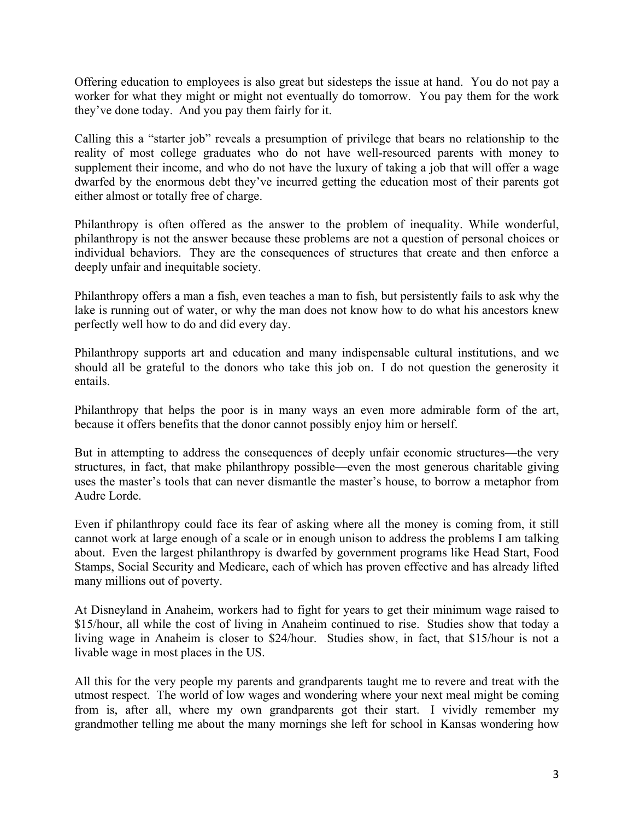Offering education to employees is also great but sidesteps the issue at hand. You do not pay a worker for what they might or might not eventually do tomorrow. You pay them for the work they've done today. And you pay them fairly for it.

Calling this a "starter job" reveals a presumption of privilege that bears no relationship to the reality of most college graduates who do not have well-resourced parents with money to supplement their income, and who do not have the luxury of taking a job that will offer a wage dwarfed by the enormous debt they've incurred getting the education most of their parents got either almost or totally free of charge.

Philanthropy is often offered as the answer to the problem of inequality. While wonderful, philanthropy is not the answer because these problems are not a question of personal choices or individual behaviors. They are the consequences of structures that create and then enforce a deeply unfair and inequitable society.

Philanthropy offers a man a fish, even teaches a man to fish, but persistently fails to ask why the lake is running out of water, or why the man does not know how to do what his ancestors knew perfectly well how to do and did every day.

Philanthropy supports art and education and many indispensable cultural institutions, and we should all be grateful to the donors who take this job on. I do not question the generosity it entails.

Philanthropy that helps the poor is in many ways an even more admirable form of the art, because it offers benefits that the donor cannot possibly enjoy him or herself.

But in attempting to address the consequences of deeply unfair economic structures—the very structures, in fact, that make philanthropy possible—even the most generous charitable giving uses the master's tools that can never dismantle the master's house, to borrow a metaphor from Audre Lorde.

Even if philanthropy could face its fear of asking where all the money is coming from, it still cannot work at large enough of a scale or in enough unison to address the problems I am talking about. Even the largest philanthropy is dwarfed by government programs like Head Start, Food Stamps, Social Security and Medicare, each of which has proven effective and has already lifted many millions out of poverty.

At Disneyland in Anaheim, workers had to fight for years to get their minimum wage raised to \$15/hour, all while the cost of living in Anaheim continued to rise. Studies show that today a living wage in Anaheim is closer to \$24/hour. Studies show, in fact, that \$15/hour is not a livable wage in most places in the US.

All this for the very people my parents and grandparents taught me to revere and treat with the utmost respect. The world of low wages and wondering where your next meal might be coming from is, after all, where my own grandparents got their start. I vividly remember my grandmother telling me about the many mornings she left for school in Kansas wondering how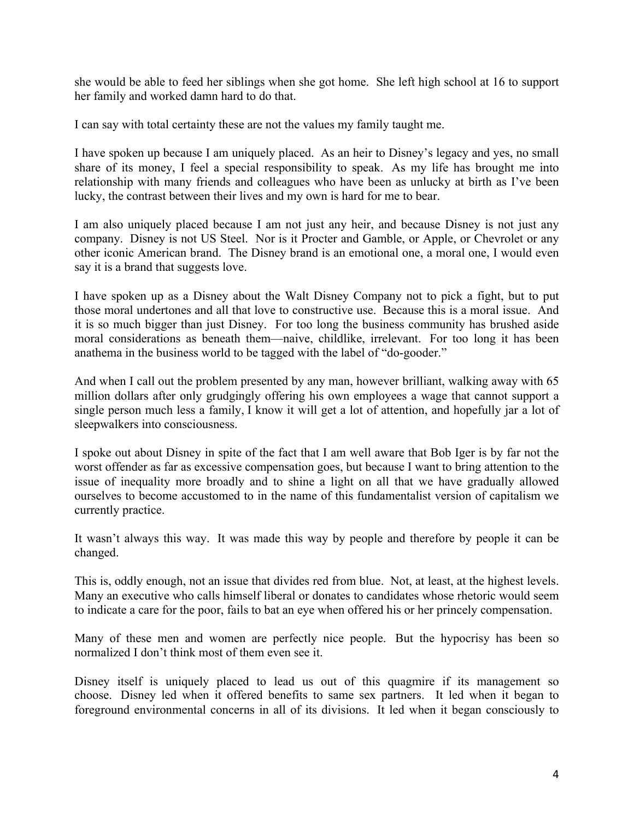she would be able to feed her siblings when she got home. She left high school at 16 to support her family and worked damn hard to do that.

I can say with total certainty these are not the values my family taught me.

I have spoken up because I am uniquely placed. As an heir to Disney's legacy and yes, no small share of its money, I feel a special responsibility to speak. As my life has brought me into relationship with many friends and colleagues who have been as unlucky at birth as I've been lucky, the contrast between their lives and my own is hard for me to bear.

I am also uniquely placed because I am not just any heir, and because Disney is not just any company. Disney is not US Steel. Nor is it Procter and Gamble, or Apple, or Chevrolet or any other iconic American brand. The Disney brand is an emotional one, a moral one, I would even say it is a brand that suggests love.

I have spoken up as a Disney about the Walt Disney Company not to pick a fight, but to put those moral undertones and all that love to constructive use. Because this is a moral issue. And it is so much bigger than just Disney. For too long the business community has brushed aside moral considerations as beneath them—naive, childlike, irrelevant. For too long it has been anathema in the business world to be tagged with the label of "do-gooder."

And when I call out the problem presented by any man, however brilliant, walking away with 65 million dollars after only grudgingly offering his own employees a wage that cannot support a single person much less a family, I know it will get a lot of attention, and hopefully jar a lot of sleepwalkers into consciousness.

I spoke out about Disney in spite of the fact that I am well aware that Bob Iger is by far not the worst offender as far as excessive compensation goes, but because I want to bring attention to the issue of inequality more broadly and to shine a light on all that we have gradually allowed ourselves to become accustomed to in the name of this fundamentalist version of capitalism we currently practice.

It wasn't always this way. It was made this way by people and therefore by people it can be changed.

This is, oddly enough, not an issue that divides red from blue. Not, at least, at the highest levels. Many an executive who calls himself liberal or donates to candidates whose rhetoric would seem to indicate a care for the poor, fails to bat an eye when offered his or her princely compensation.

Many of these men and women are perfectly nice people. But the hypocrisy has been so normalized I don't think most of them even see it.

Disney itself is uniquely placed to lead us out of this quagmire if its management so choose. Disney led when it offered benefits to same sex partners. It led when it began to foreground environmental concerns in all of its divisions. It led when it began consciously to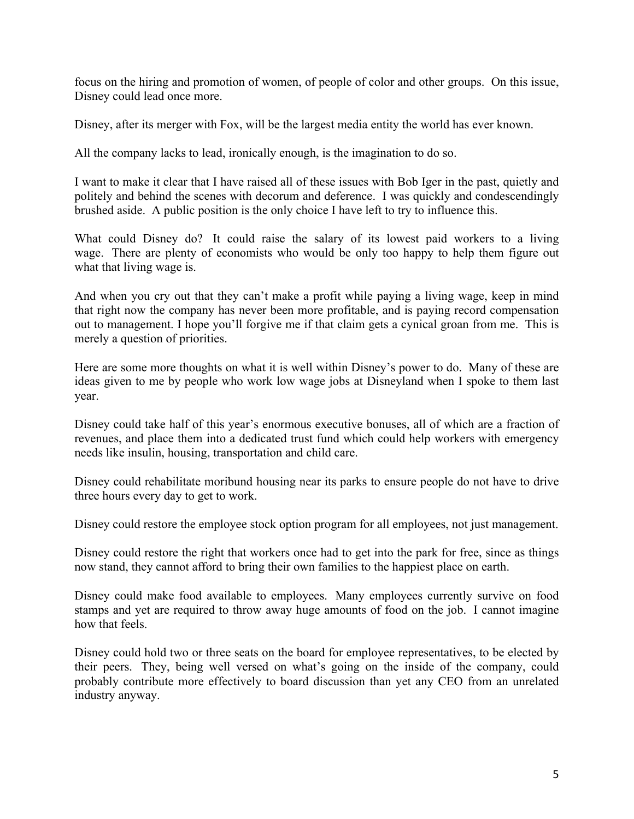focus on the hiring and promotion of women, of people of color and other groups. On this issue, Disney could lead once more.

Disney, after its merger with Fox, will be the largest media entity the world has ever known.

All the company lacks to lead, ironically enough, is the imagination to do so.

I want to make it clear that I have raised all of these issues with Bob Iger in the past, quietly and politely and behind the scenes with decorum and deference. I was quickly and condescendingly brushed aside. A public position is the only choice I have left to try to influence this.

What could Disney do? It could raise the salary of its lowest paid workers to a living wage. There are plenty of economists who would be only too happy to help them figure out what that living wage is.

And when you cry out that they can't make a profit while paying a living wage, keep in mind that right now the company has never been more profitable, and is paying record compensation out to management. I hope you'll forgive me if that claim gets a cynical groan from me. This is merely a question of priorities.

Here are some more thoughts on what it is well within Disney's power to do. Many of these are ideas given to me by people who work low wage jobs at Disneyland when I spoke to them last year.

Disney could take half of this year's enormous executive bonuses, all of which are a fraction of revenues, and place them into a dedicated trust fund which could help workers with emergency needs like insulin, housing, transportation and child care.

Disney could rehabilitate moribund housing near its parks to ensure people do not have to drive three hours every day to get to work.

Disney could restore the employee stock option program for all employees, not just management.

Disney could restore the right that workers once had to get into the park for free, since as things now stand, they cannot afford to bring their own families to the happiest place on earth.

Disney could make food available to employees. Many employees currently survive on food stamps and yet are required to throw away huge amounts of food on the job. I cannot imagine how that feels.

Disney could hold two or three seats on the board for employee representatives, to be elected by their peers. They, being well versed on what's going on the inside of the company, could probably contribute more effectively to board discussion than yet any CEO from an unrelated industry anyway.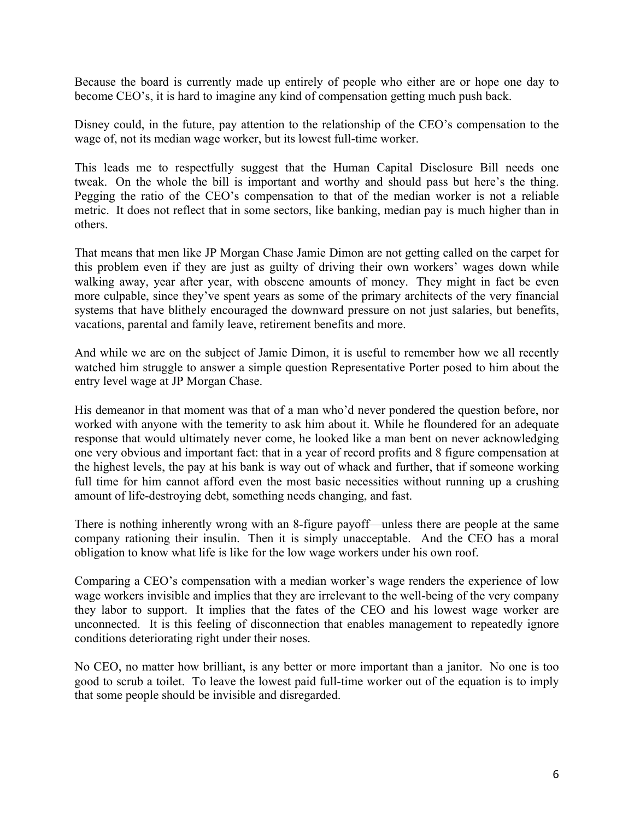Because the board is currently made up entirely of people who either are or hope one day to become CEO's, it is hard to imagine any kind of compensation getting much push back.

Disney could, in the future, pay attention to the relationship of the CEO's compensation to the wage of, not its median wage worker, but its lowest full-time worker.

This leads me to respectfully suggest that the Human Capital Disclosure Bill needs one tweak. On the whole the bill is important and worthy and should pass but here's the thing. Pegging the ratio of the CEO's compensation to that of the median worker is not a reliable metric. It does not reflect that in some sectors, like banking, median pay is much higher than in others.

That means that men like JP Morgan Chase Jamie Dimon are not getting called on the carpet for this problem even if they are just as guilty of driving their own workers' wages down while walking away, year after year, with obscene amounts of money. They might in fact be even more culpable, since they've spent years as some of the primary architects of the very financial systems that have blithely encouraged the downward pressure on not just salaries, but benefits, vacations, parental and family leave, retirement benefits and more.

And while we are on the subject of Jamie Dimon, it is useful to remember how we all recently watched him struggle to answer a simple question Representative Porter posed to him about the entry level wage at JP Morgan Chase.

His demeanor in that moment was that of a man who'd never pondered the question before, nor worked with anyone with the temerity to ask him about it. While he floundered for an adequate response that would ultimately never come, he looked like a man bent on never acknowledging one very obvious and important fact: that in a year of record profits and 8 figure compensation at the highest levels, the pay at his bank is way out of whack and further, that if someone working full time for him cannot afford even the most basic necessities without running up a crushing amount of life-destroying debt, something needs changing, and fast.

There is nothing inherently wrong with an 8-figure payoff—unless there are people at the same company rationing their insulin. Then it is simply unacceptable. And the CEO has a moral obligation to know what life is like for the low wage workers under his own roof.

Comparing a CEO's compensation with a median worker's wage renders the experience of low wage workers invisible and implies that they are irrelevant to the well-being of the very company they labor to support. It implies that the fates of the CEO and his lowest wage worker are unconnected. It is this feeling of disconnection that enables management to repeatedly ignore conditions deteriorating right under their noses.

No CEO, no matter how brilliant, is any better or more important than a janitor. No one is too good to scrub a toilet. To leave the lowest paid full-time worker out of the equation is to imply that some people should be invisible and disregarded.